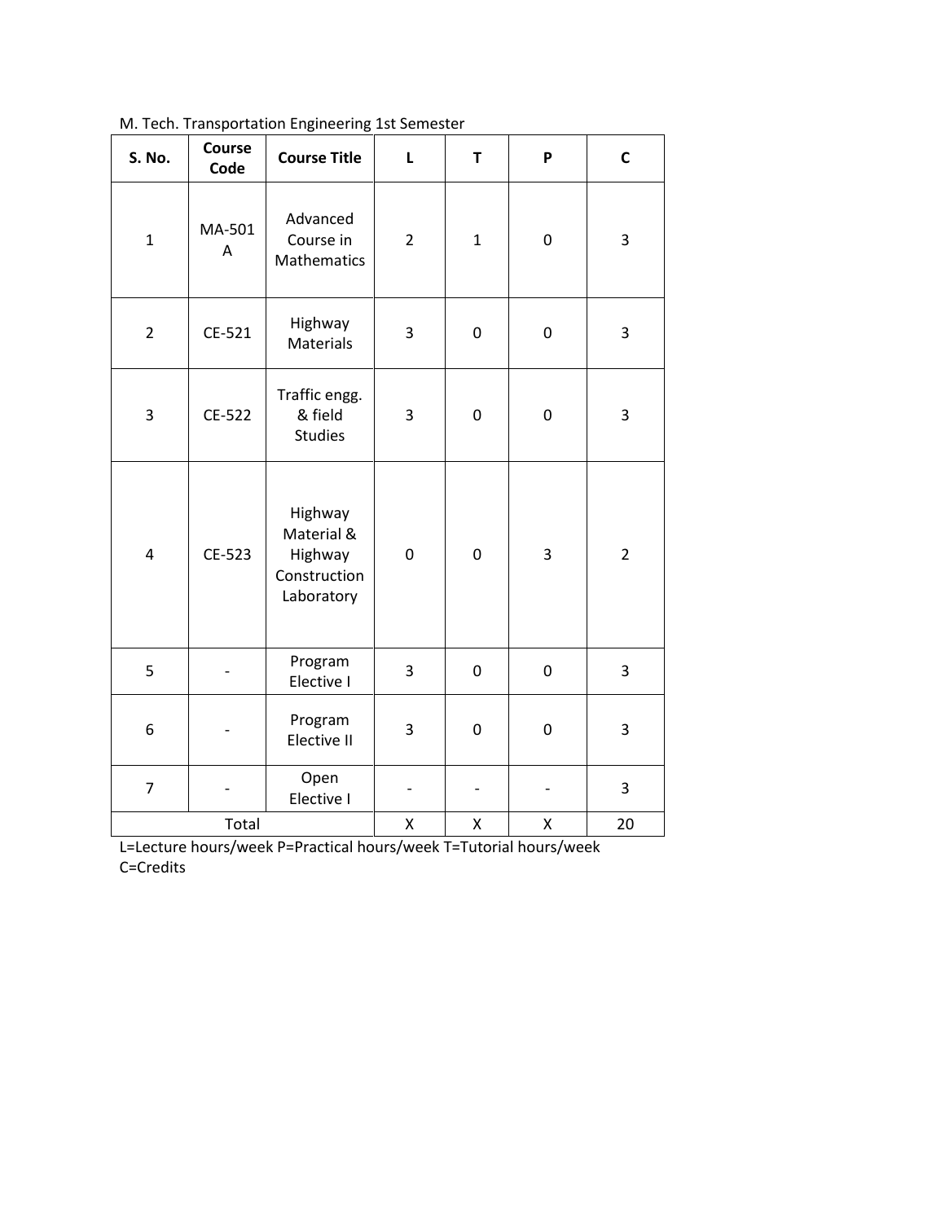| S. No.                  | Course<br>Code | <b>Course Title</b>                                            | L                | T            | P         | $\mathsf{C}$   |
|-------------------------|----------------|----------------------------------------------------------------|------------------|--------------|-----------|----------------|
| $\mathbf{1}$            | MA-501<br>Α    | Advanced<br>Course in<br>Mathematics                           | $\overline{2}$   | $\mathbf{1}$ | 0         | 3              |
| $\overline{2}$          | CE-521         | Highway<br>Materials                                           | 3                | $\mathbf 0$  | 0         | 3              |
| 3                       | CE-522         | Traffic engg.<br>& field<br><b>Studies</b>                     | 3                | $\mathbf 0$  | 0         | 3              |
| $\overline{\mathbf{4}}$ | CE-523         | Highway<br>Material &<br>Highway<br>Construction<br>Laboratory | $\boldsymbol{0}$ | $\pmb{0}$    | 3         | $\overline{2}$ |
| 5                       |                | Program<br>Elective I                                          | 3                | $\pmb{0}$    | $\pmb{0}$ | 3              |
| 6                       |                | Program<br>Elective II                                         | 3                | $\mathbf 0$  | 0         | 3              |
| $\overline{7}$          |                | Open<br>Elective I                                             |                  |              |           | 3              |
| Total                   |                |                                                                | Χ                | X            | Χ         | 20             |

M. Tech. Transportation Engineering 1st Semester

L=Lecture hours/week P=Practical hours/week T=Tutorial hours/week C=Credits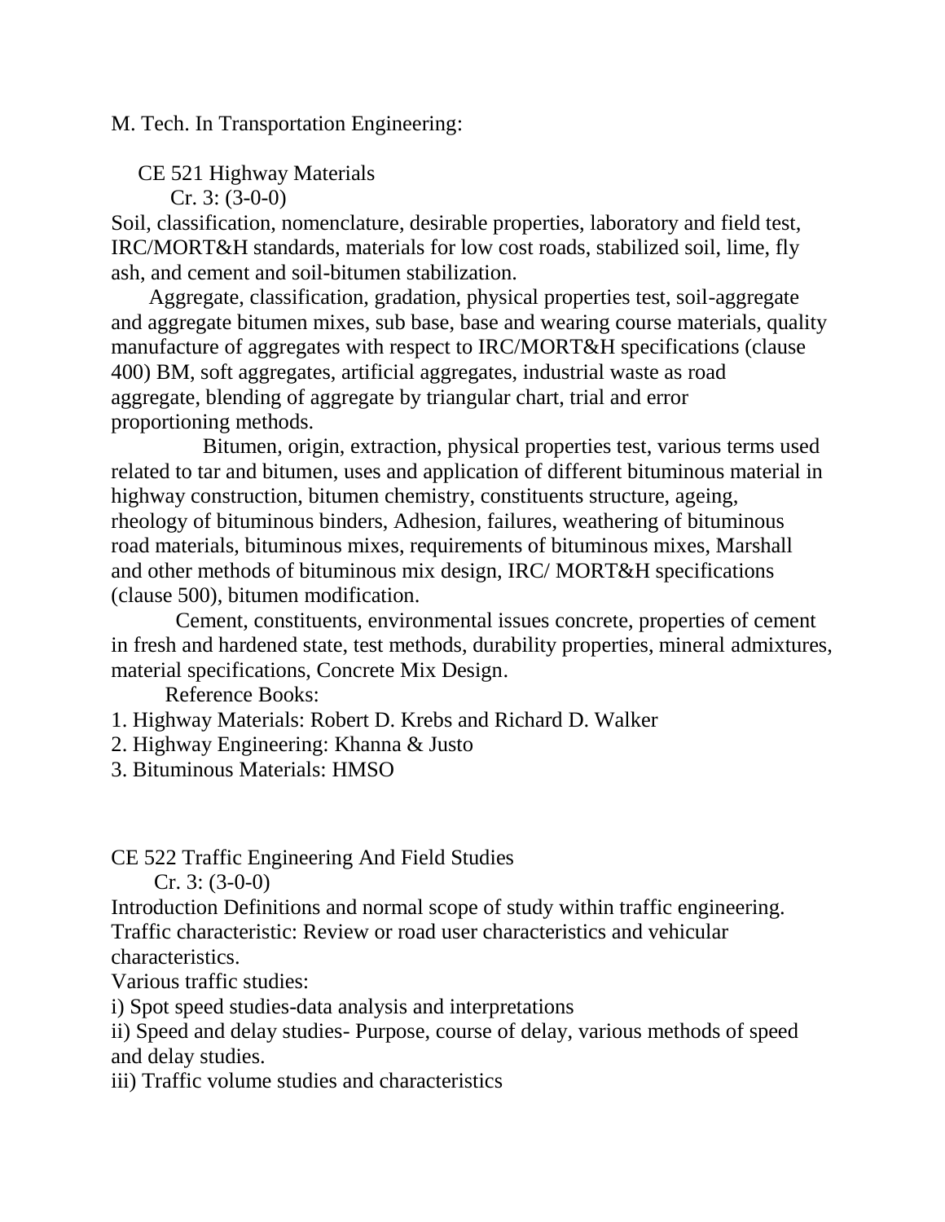M. Tech. In Transportation Engineering:

CE 521 Highway Materials

Cr. 3: (3-0-0)

Soil, classification, nomenclature, desirable properties, laboratory and field test, IRC/MORT&H standards, materials for low cost roads, stabilized soil, lime, fly ash, and cement and soil-bitumen stabilization.

 Aggregate, classification, gradation, physical properties test, soil-aggregate and aggregate bitumen mixes, sub base, base and wearing course materials, quality manufacture of aggregates with respect to IRC/MORT&H specifications (clause 400) BM, soft aggregates, artificial aggregates, industrial waste as road aggregate, blending of aggregate by triangular chart, trial and error proportioning methods.

 Bitumen, origin, extraction, physical properties test, various terms used related to tar and bitumen, uses and application of different bituminous material in highway construction, bitumen chemistry, constituents structure, ageing, rheology of bituminous binders, Adhesion, failures, weathering of bituminous road materials, bituminous mixes, requirements of bituminous mixes, Marshall and other methods of bituminous mix design, IRC/ MORT&H specifications (clause 500), bitumen modification.

 Cement, constituents, environmental issues concrete, properties of cement in fresh and hardened state, test methods, durability properties, mineral admixtures, material specifications, Concrete Mix Design.

Reference Books:

1. Highway Materials: Robert D. Krebs and Richard D. Walker

2. Highway Engineering: Khanna & Justo

3. Bituminous Materials: HMSO

CE 522 Traffic Engineering And Field Studies

 $Cr. 3: (3-0-0)$ 

Introduction Definitions and normal scope of study within traffic engineering. Traffic characteristic: Review or road user characteristics and vehicular characteristics.

Various traffic studies:

i) Spot speed studies-data analysis and interpretations

ii) Speed and delay studies- Purpose, course of delay, various methods of speed and delay studies.

iii) Traffic volume studies and characteristics